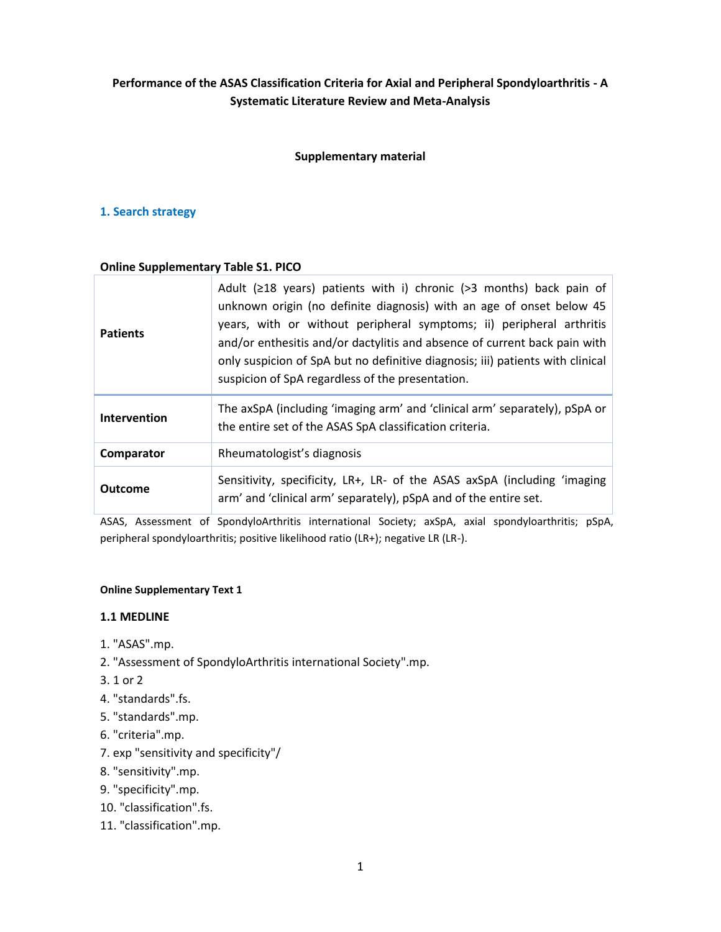# **Performance of the ASAS Classification Criteria for Axial and Peripheral Spondyloarthritis - A Systematic Literature Review and Meta-Analysis**

### **Supplementary material**

### **1. Search strategy**

#### **Online Supplementary Table S1. PICO**

| <b>Patients</b> | Adult ( $\geq$ 18 years) patients with i) chronic ( $>$ 3 months) back pain of<br>unknown origin (no definite diagnosis) with an age of onset below 45<br>years, with or without peripheral symptoms; ii) peripheral arthritis<br>and/or enthesitis and/or dactylitis and absence of current back pain with<br>only suspicion of SpA but no definitive diagnosis; iii) patients with clinical<br>suspicion of SpA regardless of the presentation. |  |  |  |  |  |
|-----------------|---------------------------------------------------------------------------------------------------------------------------------------------------------------------------------------------------------------------------------------------------------------------------------------------------------------------------------------------------------------------------------------------------------------------------------------------------|--|--|--|--|--|
| Intervention    | The axSpA (including 'imaging arm' and 'clinical arm' separately), pSpA or<br>the entire set of the ASAS SpA classification criteria.                                                                                                                                                                                                                                                                                                             |  |  |  |  |  |
| Comparator      | Rheumatologist's diagnosis                                                                                                                                                                                                                                                                                                                                                                                                                        |  |  |  |  |  |
| <b>Outcome</b>  | Sensitivity, specificity, LR+, LR- of the ASAS axSpA (including 'imaging<br>arm' and 'clinical arm' separately), pSpA and of the entire set.                                                                                                                                                                                                                                                                                                      |  |  |  |  |  |

ASAS, Assessment of SpondyloArthritis international Society; axSpA, axial spondyloarthritis; pSpA, peripheral spondyloarthritis; positive likelihood ratio (LR+); negative LR (LR-).

#### **Online Supplementary Text 1**

#### **1.1 MEDLINE**

- 1. "ASAS".mp.
- 2. "Assessment of SpondyloArthritis international Society".mp.
- 3. 1 or 2
- 4. "standards".fs.
- 5. "standards".mp.
- 6. "criteria".mp.
- 7. exp "sensitivity and specificity"/
- 8. "sensitivity".mp.
- 9. "specificity".mp.
- 10. "classification".fs.
- 11. "classification".mp.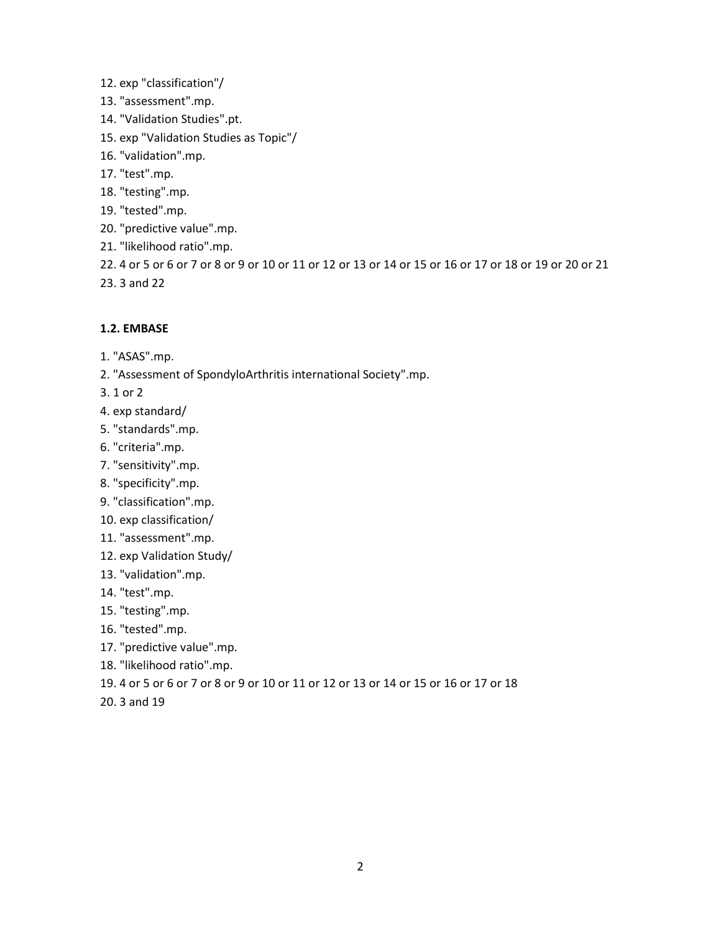- 12. exp "classification"/
- 13. "assessment".mp.
- 14. "Validation Studies".pt.
- 15. exp "Validation Studies as Topic"/
- 16. "validation".mp.
- 17. "test".mp.
- 18. "testing".mp.
- 19. "tested".mp.
- 20. "predictive value".mp.
- 21. "likelihood ratio".mp.
- 22. 4 or 5 or 6 or 7 or 8 or 9 or 10 or 11 or 12 or 13 or 14 or 15 or 16 or 17 or 18 or 19 or 20 or 21
- 23. 3 and 22

### **1.2. EMBASE**

- 1. "ASAS".mp.
- 2. "Assessment of SpondyloArthritis international Society".mp.
- 3. 1 or 2
- 4. exp standard/
- 5. "standards".mp.
- 6. "criteria".mp.
- 7. "sensitivity".mp.
- 8. "specificity".mp.
- 9. "classification".mp.
- 10. exp classification/
- 11. "assessment".mp.
- 12. exp Validation Study/
- 13. "validation".mp.
- 14. "test".mp.
- 15. "testing".mp.
- 16. "tested".mp.
- 17. "predictive value".mp.
- 18. "likelihood ratio".mp.
- 19. 4 or 5 or 6 or 7 or 8 or 9 or 10 or 11 or 12 or 13 or 14 or 15 or 16 or 17 or 18
- 20. 3 and 19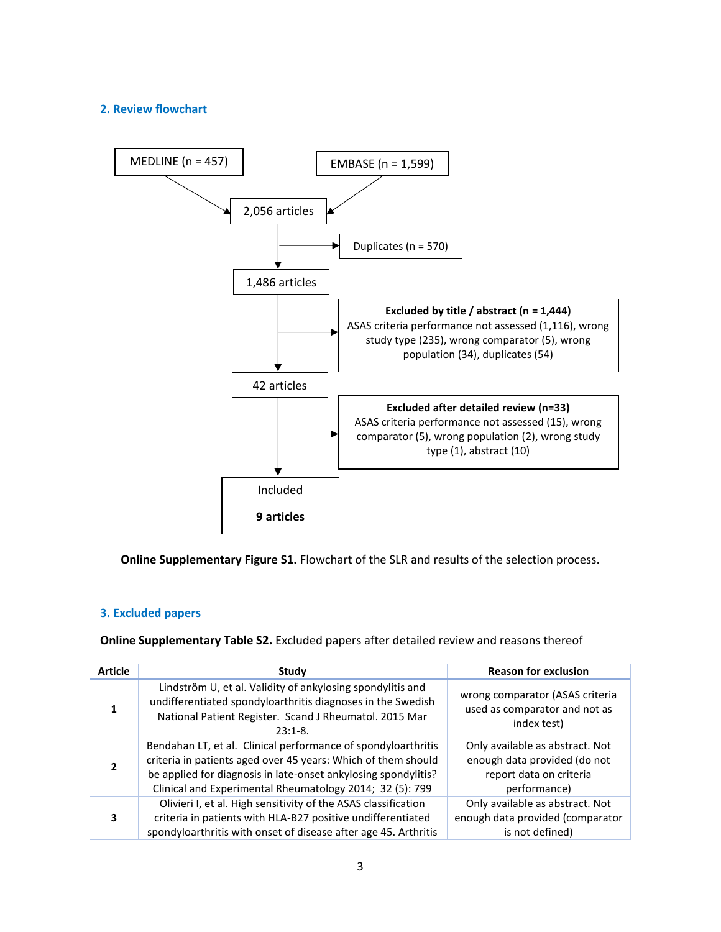## **2. Review flowchart**



**Online Supplementary Figure S1.** Flowchart of the SLR and results of the selection process.

### **3. Excluded papers**

**Online Supplementary Table S2.** Excluded papers after detailed review and reasons thereof

| <b>Article</b> | Study                                                                                                                                                                                                                                                        | <b>Reason for exclusion</b>                                                                                |
|----------------|--------------------------------------------------------------------------------------------------------------------------------------------------------------------------------------------------------------------------------------------------------------|------------------------------------------------------------------------------------------------------------|
|                | Lindström U, et al. Validity of ankylosing spondylitis and<br>undifferentiated spondyloarthritis diagnoses in the Swedish<br>National Patient Register. Scand J Rheumatol. 2015 Mar<br>$23:1-8.$                                                             | wrong comparator (ASAS criteria<br>used as comparator and not as<br>index test)                            |
|                | Bendahan LT, et al. Clinical performance of spondyloarthritis<br>criteria in patients aged over 45 years: Which of them should<br>be applied for diagnosis in late-onset ankylosing spondylitis?<br>Clinical and Experimental Rheumatology 2014; 32 (5): 799 | Only available as abstract. Not<br>enough data provided (do not<br>report data on criteria<br>performance) |
| 3              | Olivieri I, et al. High sensitivity of the ASAS classification<br>criteria in patients with HLA-B27 positive undifferentiated<br>spondyloarthritis with onset of disease after age 45. Arthritis                                                             | Only available as abstract. Not<br>enough data provided (comparator<br>is not defined)                     |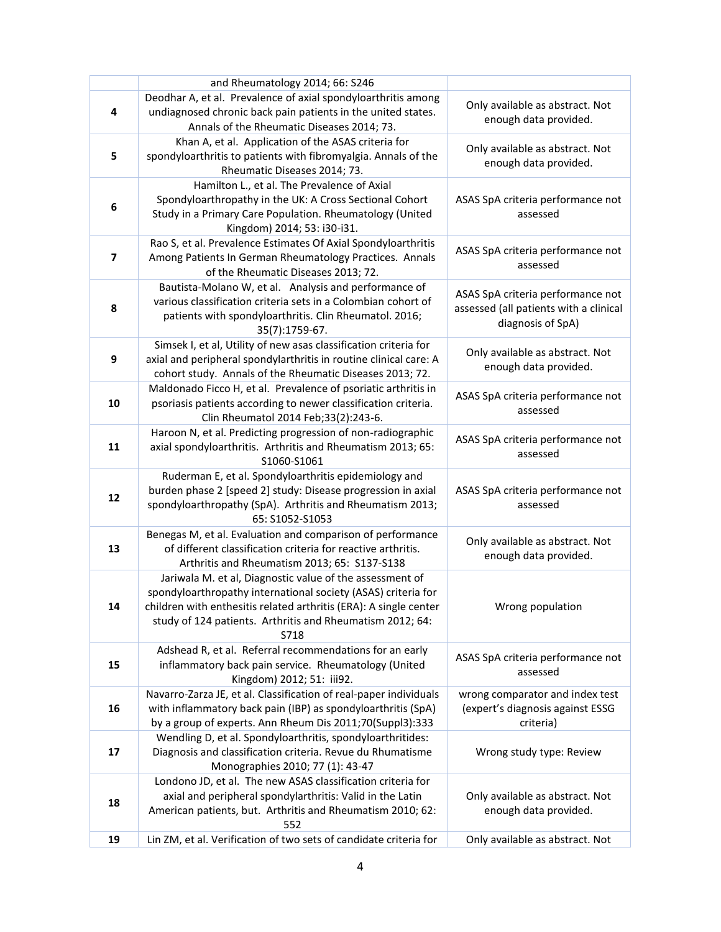|                         | and Rheumatology 2014; 66: S246                                                                                                                                                                                                                                     |                                                                                                  |
|-------------------------|---------------------------------------------------------------------------------------------------------------------------------------------------------------------------------------------------------------------------------------------------------------------|--------------------------------------------------------------------------------------------------|
| 4                       | Deodhar A, et al. Prevalence of axial spondyloarthritis among<br>undiagnosed chronic back pain patients in the united states.<br>Annals of the Rheumatic Diseases 2014; 73.                                                                                         | Only available as abstract. Not<br>enough data provided.                                         |
| 5                       | Khan A, et al. Application of the ASAS criteria for<br>spondyloarthritis to patients with fibromyalgia. Annals of the<br>Rheumatic Diseases 2014; 73.                                                                                                               | Only available as abstract. Not<br>enough data provided.                                         |
| 6                       | Hamilton L., et al. The Prevalence of Axial<br>Spondyloarthropathy in the UK: A Cross Sectional Cohort<br>Study in a Primary Care Population. Rheumatology (United<br>Kingdom) 2014; 53: i30-i31.                                                                   | ASAS SpA criteria performance not<br>assessed                                                    |
| $\overline{\mathbf{z}}$ | Rao S, et al. Prevalence Estimates Of Axial Spondyloarthritis<br>Among Patients In German Rheumatology Practices. Annals<br>of the Rheumatic Diseases 2013; 72.                                                                                                     | ASAS SpA criteria performance not<br>assessed                                                    |
| 8                       | Bautista-Molano W, et al. Analysis and performance of<br>various classification criteria sets in a Colombian cohort of<br>patients with spondyloarthritis. Clin Rheumatol. 2016;<br>35(7):1759-67.                                                                  | ASAS SpA criteria performance not<br>assessed (all patients with a clinical<br>diagnosis of SpA) |
| 9                       | Simsek I, et al, Utility of new asas classification criteria for<br>axial and peripheral spondylarthritis in routine clinical care: A<br>cohort study. Annals of the Rheumatic Diseases 2013; 72.                                                                   | Only available as abstract. Not<br>enough data provided.                                         |
| 10                      | Maldonado Ficco H, et al. Prevalence of psoriatic arthritis in<br>psoriasis patients according to newer classification criteria.<br>Clin Rheumatol 2014 Feb;33(2):243-6.                                                                                            | ASAS SpA criteria performance not<br>assessed                                                    |
| 11                      | Haroon N, et al. Predicting progression of non-radiographic<br>axial spondyloarthritis. Arthritis and Rheumatism 2013; 65:<br>S1060-S1061                                                                                                                           | ASAS SpA criteria performance not<br>assessed                                                    |
| 12                      | Ruderman E, et al. Spondyloarthritis epidemiology and<br>burden phase 2 [speed 2] study: Disease progression in axial<br>spondyloarthropathy (SpA). Arthritis and Rheumatism 2013;<br>65: S1052-S1053                                                               | ASAS SpA criteria performance not<br>assessed                                                    |
| 13                      | Benegas M, et al. Evaluation and comparison of performance<br>of different classification criteria for reactive arthritis.<br>Arthritis and Rheumatism 2013; 65: S137-S138                                                                                          | Only available as abstract. Not<br>enough data provided.                                         |
| 14                      | Jariwala M. et al, Diagnostic value of the assessment of<br>spondyloarthropathy international society (ASAS) criteria for<br>children with enthesitis related arthritis (ERA): A single center<br>study of 124 patients. Arthritis and Rheumatism 2012; 64:<br>S718 | Wrong population                                                                                 |
| 15                      | Adshead R, et al. Referral recommendations for an early<br>inflammatory back pain service. Rheumatology (United<br>Kingdom) 2012; 51: iii92.                                                                                                                        | ASAS SpA criteria performance not<br>assessed                                                    |
| 16                      | Navarro-Zarza JE, et al. Classification of real-paper individuals<br>with inflammatory back pain (IBP) as spondyloarthritis (SpA)<br>by a group of experts. Ann Rheum Dis 2011;70(Suppl3):333                                                                       | wrong comparator and index test<br>(expert's diagnosis against ESSG<br>criteria)                 |
| 17                      | Wendling D, et al. Spondyloarthritis, spondyloarthritides:<br>Diagnosis and classification criteria. Revue du Rhumatisme<br>Monographies 2010; 77 (1): 43-47                                                                                                        | Wrong study type: Review                                                                         |
| 18                      | Londono JD, et al. The new ASAS classification criteria for<br>axial and peripheral spondylarthritis: Valid in the Latin<br>American patients, but. Arthritis and Rheumatism 2010; 62:<br>552                                                                       | Only available as abstract. Not<br>enough data provided.                                         |
| 19                      | Lin ZM, et al. Verification of two sets of candidate criteria for                                                                                                                                                                                                   | Only available as abstract. Not                                                                  |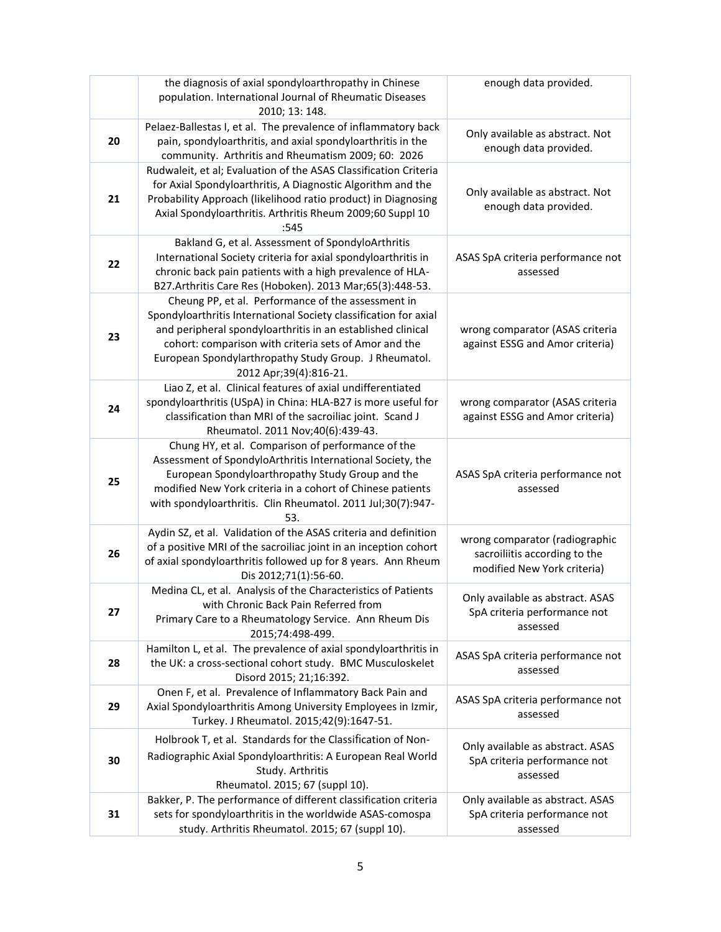|    | the diagnosis of axial spondyloarthropathy in Chinese<br>population. International Journal of Rheumatic Diseases<br>2010; 13: 148.                                                                                                                                                                                                | enough data provided.                                                                          |
|----|-----------------------------------------------------------------------------------------------------------------------------------------------------------------------------------------------------------------------------------------------------------------------------------------------------------------------------------|------------------------------------------------------------------------------------------------|
| 20 | Pelaez-Ballestas I, et al. The prevalence of inflammatory back<br>pain, spondyloarthritis, and axial spondyloarthritis in the<br>community. Arthritis and Rheumatism 2009; 60: 2026                                                                                                                                               | Only available as abstract. Not<br>enough data provided.                                       |
| 21 | Rudwaleit, et al; Evaluation of the ASAS Classification Criteria<br>for Axial Spondyloarthritis, A Diagnostic Algorithm and the<br>Probability Approach (likelihood ratio product) in Diagnosing<br>Axial Spondyloarthritis. Arthritis Rheum 2009;60 Suppl 10<br>:545                                                             | Only available as abstract. Not<br>enough data provided.                                       |
| 22 | Bakland G, et al. Assessment of SpondyloArthritis<br>International Society criteria for axial spondyloarthritis in<br>chronic back pain patients with a high prevalence of HLA-<br>B27.Arthritis Care Res (Hoboken). 2013 Mar;65(3):448-53.                                                                                       | ASAS SpA criteria performance not<br>assessed                                                  |
| 23 | Cheung PP, et al. Performance of the assessment in<br>Spondyloarthritis International Society classification for axial<br>and peripheral spondyloarthritis in an established clinical<br>cohort: comparison with criteria sets of Amor and the<br>European Spondylarthropathy Study Group. J Rheumatol.<br>2012 Apr;39(4):816-21. | wrong comparator (ASAS criteria<br>against ESSG and Amor criteria)                             |
| 24 | Liao Z, et al. Clinical features of axial undifferentiated<br>spondyloarthritis (USpA) in China: HLA-B27 is more useful for<br>classification than MRI of the sacroiliac joint. Scand J<br>Rheumatol. 2011 Nov;40(6):439-43.                                                                                                      | wrong comparator (ASAS criteria<br>against ESSG and Amor criteria)                             |
| 25 | Chung HY, et al. Comparison of performance of the<br>Assessment of SpondyloArthritis International Society, the<br>European Spondyloarthropathy Study Group and the<br>modified New York criteria in a cohort of Chinese patients<br>with spondyloarthritis. Clin Rheumatol. 2011 Jul;30(7):947-<br>53.                           | ASAS SpA criteria performance not<br>assessed                                                  |
| 26 | Aydin SZ, et al. Validation of the ASAS criteria and definition<br>of a positive MRI of the sacroiliac joint in an inception cohort<br>of axial spondyloarthritis followed up for 8 years. Ann Rheum<br>Dis 2012;71(1):56-60.                                                                                                     | wrong comparator (radiographic<br>sacroiliitis according to the<br>modified New York criteria) |
| 27 | Medina CL, et al. Analysis of the Characteristics of Patients<br>with Chronic Back Pain Referred from<br>Primary Care to a Rheumatology Service. Ann Rheum Dis<br>2015;74:498-499.                                                                                                                                                | Only available as abstract. ASAS<br>SpA criteria performance not<br>assessed                   |
| 28 | Hamilton L, et al. The prevalence of axial spondyloarthritis in<br>the UK: a cross-sectional cohort study. BMC Musculoskelet<br>Disord 2015; 21;16:392.                                                                                                                                                                           | ASAS SpA criteria performance not<br>assessed                                                  |
| 29 | Onen F, et al. Prevalence of Inflammatory Back Pain and<br>Axial Spondyloarthritis Among University Employees in Izmir,<br>Turkey. J Rheumatol. 2015;42(9):1647-51.                                                                                                                                                               | ASAS SpA criteria performance not<br>assessed                                                  |
| 30 | Holbrook T, et al. Standards for the Classification of Non-<br>Radiographic Axial Spondyloarthritis: A European Real World<br>Study. Arthritis<br>Rheumatol. 2015; 67 (suppl 10).                                                                                                                                                 | Only available as abstract. ASAS<br>SpA criteria performance not<br>assessed                   |
| 31 | Bakker, P. The performance of different classification criteria<br>sets for spondyloarthritis in the worldwide ASAS-comospa<br>study. Arthritis Rheumatol. 2015; 67 (suppl 10).                                                                                                                                                   | Only available as abstract. ASAS<br>SpA criteria performance not<br>assessed                   |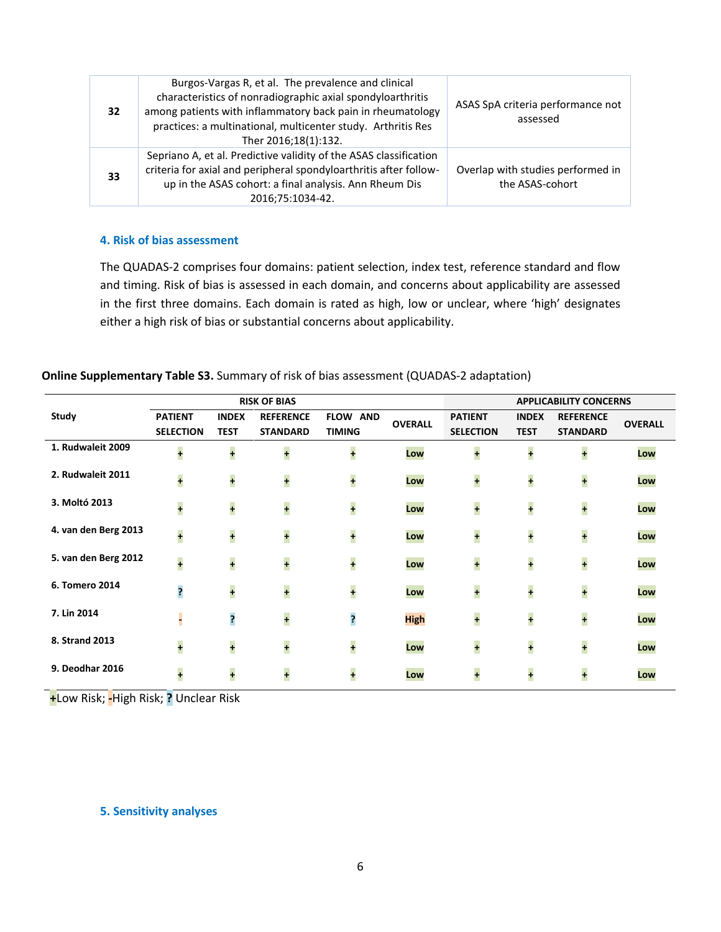| 32 | Burgos-Vargas R, et al. The prevalence and clinical<br>characteristics of nonradiographic axial spondyloarthritis<br>among patients with inflammatory back pain in rheumatology<br>practices: a multinational, multicenter study. Arthritis Res<br>Ther 2016;18(1):132. | ASAS SpA criteria performance not<br>assessed        |
|----|-------------------------------------------------------------------------------------------------------------------------------------------------------------------------------------------------------------------------------------------------------------------------|------------------------------------------------------|
| 33 | Sepriano A, et al. Predictive validity of the ASAS classification<br>criteria for axial and peripheral spondyloarthritis after follow-<br>up in the ASAS cohort: a final analysis. Ann Rheum Dis<br>2016;75:1034-42.                                                    | Overlap with studies performed in<br>the ASAS-cohort |

#### **4. Risk of bias assessment**

The QUADAS-2 comprises four domains: patient selection, index test, reference standard and flow and timing. Risk of bias is assessed in each domain, and concerns about applicability are assessed in the first three domains. Each domain is rated as high, low or unclear, where 'high' designates either a high risk of bias or substantial concerns about applicability.

### **Online Supplementary Table S3.** Summary of risk of bias assessment (QUADAS-2 adaptation)

|                        | <b>RISK OF BIAS</b>  |                      |                      | <b>APPLICABILITY CONCERNS</b> |                |                      |                      |                      |                |
|------------------------|----------------------|----------------------|----------------------|-------------------------------|----------------|----------------------|----------------------|----------------------|----------------|
| Study                  | <b>PATIENT</b>       | <b>INDEX</b>         | <b>REFERENCE</b>     | <b>FLOW AND</b>               | <b>OVERALL</b> | <b>PATIENT</b>       | <b>INDEX</b>         | <b>REFERENCE</b>     | <b>OVERALL</b> |
|                        | <b>SELECTION</b>     | <b>TEST</b>          | <b>STANDARD</b>      | <b>TIMING</b>                 |                | <b>SELECTION</b>     | <b>TEST</b>          | <b>STANDARD</b>      |                |
| 1. Rudwaleit 2009      | $\ddot{\phantom{1}}$ | $\ddot{\phantom{1}}$ | $\ddot{\phantom{1}}$ | $\ddot{\phantom{1}}$          | Low            | $\ddot{\phantom{1}}$ | $\ddot{\phantom{1}}$ | $\ddot{\phantom{1}}$ | Low            |
| 2. Rudwaleit 2011      | +                    | +                    | $\ddot{\phantom{1}}$ | +                             | Low            | +                    | $\ddot{\phantom{1}}$ | $\ddot{\phantom{1}}$ | Low            |
| 3. Moltó 2013          | $\ddot{\phantom{1}}$ | ÷                    | $\ddot{\phantom{1}}$ | ÷                             | Low            | +                    | ÷                    | $\ddot{\phantom{1}}$ | Low            |
| 4. van den Berg 2013   | $\ddot{\phantom{1}}$ | $\ddot{\phantom{1}}$ | $\ddot{\phantom{1}}$ | +                             | Low            | ÷                    | $\ddot{\phantom{1}}$ | $\ddot{\phantom{1}}$ | Low            |
| 5. van den Berg 2012   | $\ddot{\phantom{1}}$ | ÷                    | +                    | +                             | Low            | +                    | $\ddot{\phantom{1}}$ | $\ddot{\phantom{1}}$ | Low            |
| 6. Tomero 2014         | ?                    | ÷                    | $\ddot{\phantom{1}}$ | +                             | Low            | +                    | $\ddot{\phantom{1}}$ | $\ddot{\phantom{1}}$ | Low            |
| 7. Lin 2014            | -                    | ?                    | $\ddot{\phantom{1}}$ | ?                             | <b>High</b>    | +                    | ÷                    | $\ddot{\phantom{1}}$ | Low            |
| 8. Strand 2013         | ÷                    | $\ddot{\phantom{0}}$ | $\ddot{\phantom{1}}$ | +                             | Low            | +                    | $\ddot{\phantom{0}}$ | $\ddot{\phantom{1}}$ | Low            |
| <b>9. Deodhar 2016</b> | $\ddot{\phantom{1}}$ | $\ddot{\phantom{1}}$ | +                    | $\ddot{\phantom{1}}$          | Low            | $\overline{1}$       | $\ddot{\phantom{1}}$ | $\ddot{\phantom{1}}$ | Low            |

**+**Low Risk; **-**High Risk; **?** Unclear Risk

#### **5. Sensitivity analyses**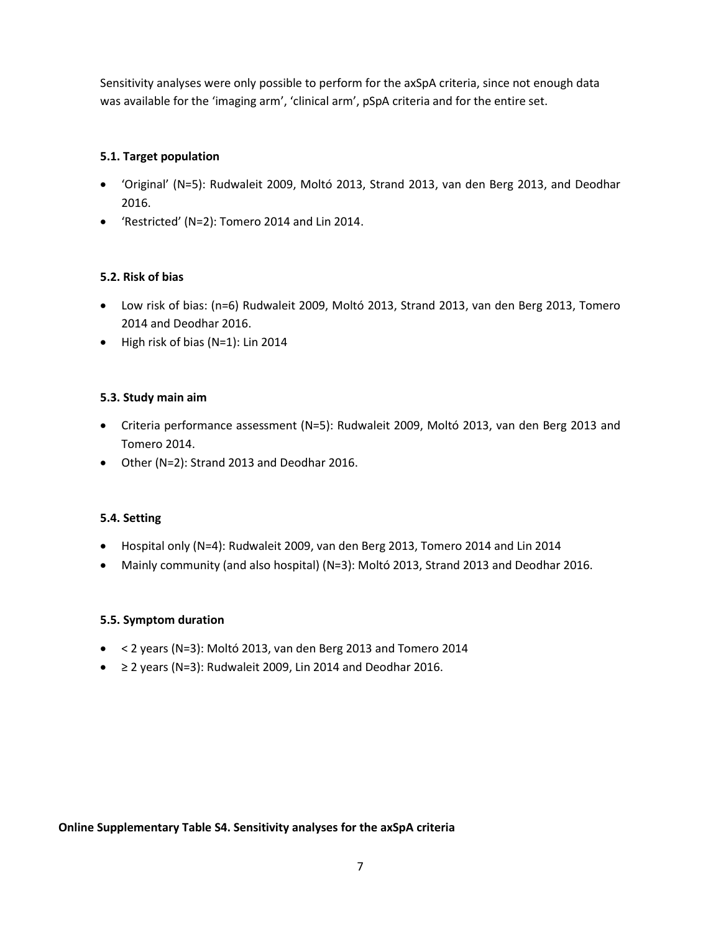Sensitivity analyses were only possible to perform for the axSpA criteria, since not enough data was available for the 'imaging arm', 'clinical arm', pSpA criteria and for the entire set.

## **5.1. Target population**

- 'Original' (N=5): Rudwaleit 2009, Moltó 2013, Strand 2013, van den Berg 2013, and Deodhar 2016.
- 'Restricted' (N=2): Tomero 2014 and Lin 2014.

# **5.2. Risk of bias**

- Low risk of bias: (n=6) Rudwaleit 2009, Moltó 2013, Strand 2013, van den Berg 2013, Tomero 2014 and Deodhar 2016.
- High risk of bias (N=1): Lin 2014

## **5.3. Study main aim**

- Criteria performance assessment (N=5): Rudwaleit 2009, Moltó 2013, van den Berg 2013 and Tomero 2014.
- Other (N=2): Strand 2013 and Deodhar 2016.

## **5.4. Setting**

- Hospital only (N=4): Rudwaleit 2009, van den Berg 2013, Tomero 2014 and Lin 2014
- Mainly community (and also hospital) (N=3): Moltó 2013, Strand 2013 and Deodhar 2016.

## **5.5. Symptom duration**

- $\bullet$  < 2 years (N=3): Moltó 2013, van den Berg 2013 and Tomero 2014
- ≥ 2 years (N=3): Rudwaleit 2009, Lin 2014 and Deodhar 2016.

**Online Supplementary Table S4. Sensitivity analyses for the axSpA criteria**